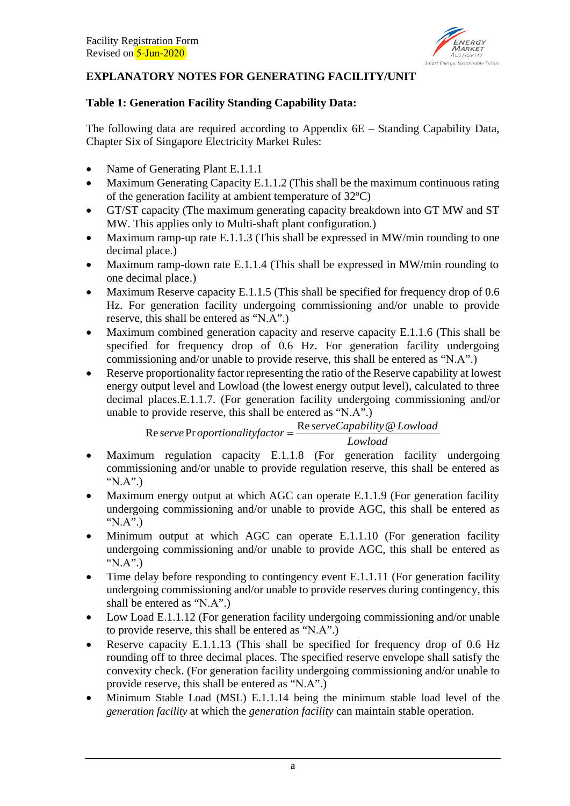

## **EXPLANATORY NOTES FOR GENERATING FACILITY/UNIT**

### **Table 1: Generation Facility Standing Capability Data:**

The following data are required according to Appendix 6E – Standing Capability Data, Chapter Six of Singapore Electricity Market Rules:

- Name of Generating Plant E.1.1.1
- Maximum Generating Capacity E.1.1.2 (This shall be the maximum continuous rating of the generation facility at ambient temperature of 32°C)
- GT/ST capacity (The maximum generating capacity breakdown into GT MW and ST MW. This applies only to Multi-shaft plant configuration*.*)
- Maximum ramp-up rate E.1.1.3 (This shall be expressed in MW/min rounding to one decimal place.)
- Maximum ramp-down rate E.1.1.4 (This shall be expressed in MW/min rounding to one decimal place.)
- Maximum Reserve capacity E.1.1.5 (This shall be specified for frequency drop of 0.6 Hz. For generation facility undergoing commissioning and/or unable to provide reserve, this shall be entered as "N.A".)
- Maximum combined generation capacity and reserve capacity E.1.1.6 (This shall be specified for frequency drop of 0.6 Hz. For generation facility undergoing commissioning and/or unable to provide reserve, this shall be entered as "N.A".)
- Reserve proportionality factor representing the ratio of the Reserve capability at lowest energy output level and Lowload (the lowest energy output level), calculated to three decimal places.E.1.1.7. (For generation facility undergoing commissioning and/or unable to provide reserve, this shall be entered as "N.A".)

*Lowload serveCapability Lowload*  $\text{Re } \text{server} \times \text{Proportionality factor} =$ 

- Maximum regulation capacity E.1.1.8 (For generation facility undergoing commissioning and/or unable to provide regulation reserve, this shall be entered as "N.A".)
- Maximum energy output at which AGC can operate E.1.1.9 (For generation facility undergoing commissioning and/or unable to provide AGC, this shall be entered as "N.A".)
- Minimum output at which AGC can operate E.1.1.10 (For generation facility undergoing commissioning and/or unable to provide AGC, this shall be entered as "N.A".)
- Time delay before responding to contingency event E.1.1.11 (For generation facility undergoing commissioning and/or unable to provide reserves during contingency, this shall be entered as "N.A".)
- Low Load E.1.1.12 (For generation facility undergoing commissioning and/or unable to provide reserve, this shall be entered as "N.A".)
- Reserve capacity E.1.1.13 (This shall be specified for frequency drop of 0.6 Hz rounding off to three decimal places. The specified reserve envelope shall satisfy the convexity check. (For generation facility undergoing commissioning and/or unable to provide reserve, this shall be entered as "N.A".)
- Minimum Stable Load (MSL) E.1.1.14 being the minimum stable load level of the *generation facility* at which the *generation facility* can maintain stable operation.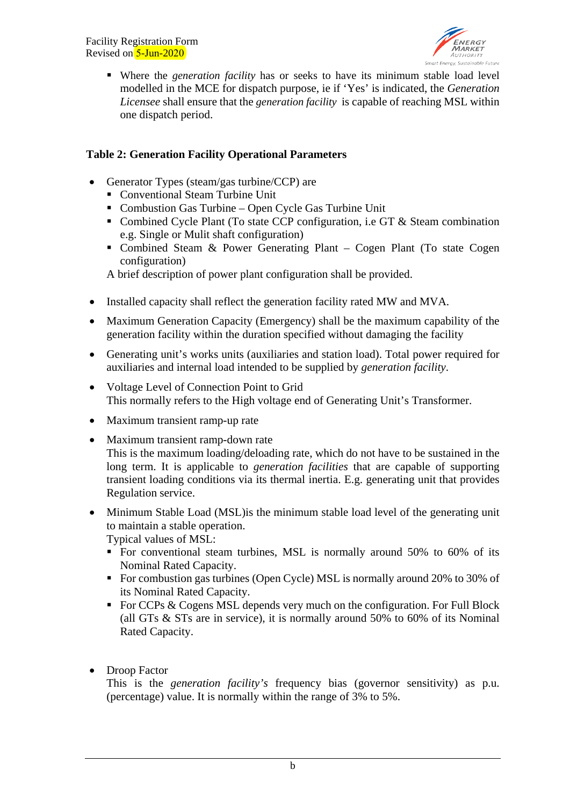

 Where the *generation facility* has or seeks to have its minimum stable load level modelled in the MCE for dispatch purpose, ie if 'Yes' is indicated, the *Generation Licensee* shall ensure that the *generation facility* is capable of reaching MSL within one dispatch period.

### **Table 2: Generation Facility Operational Parameters**

- Generator Types (steam/gas turbine/CCP) are
	- Conventional Steam Turbine Unit
	- Combustion Gas Turbine Open Cycle Gas Turbine Unit
	- Combined Cycle Plant (To state CCP configuration, i.e GT & Steam combination e.g. Single or Mulit shaft configuration)
	- Combined Steam & Power Generating Plant Cogen Plant (To state Cogen configuration)

A brief description of power plant configuration shall be provided.

- Installed capacity shall reflect the generation facility rated MW and MVA.
- Maximum Generation Capacity (Emergency) shall be the maximum capability of the generation facility within the duration specified without damaging the facility
- Generating unit's works units (auxiliaries and station load). Total power required for auxiliaries and internal load intended to be supplied by *generation facility*.
- Voltage Level of Connection Point to Grid This normally refers to the High voltage end of Generating Unit's Transformer.
- Maximum transient ramp-up rate
- Maximum transient ramp-down rate This is the maximum loading/deloading rate, which do not have to be sustained in the long term. It is applicable to *generation facilities* that are capable of supporting transient loading conditions via its thermal inertia. E.g. generating unit that provides Regulation service.
- Minimum Stable Load (MSL) is the minimum stable load level of the generating unit to maintain a stable operation. Typical values of MSL:
	- For conventional steam turbines, MSL is normally around 50% to 60% of its Nominal Rated Capacity.
	- For combustion gas turbines (Open Cycle) MSL is normally around 20% to 30% of its Nominal Rated Capacity.
	- For CCPs  $\&$  Cogens MSL depends very much on the configuration. For Full Block (all GTs & STs are in service), it is normally around 50% to 60% of its Nominal Rated Capacity.
- Droop Factor

This is the *generation facility's* frequency bias (governor sensitivity) as p.u. (percentage) value. It is normally within the range of 3% to 5%.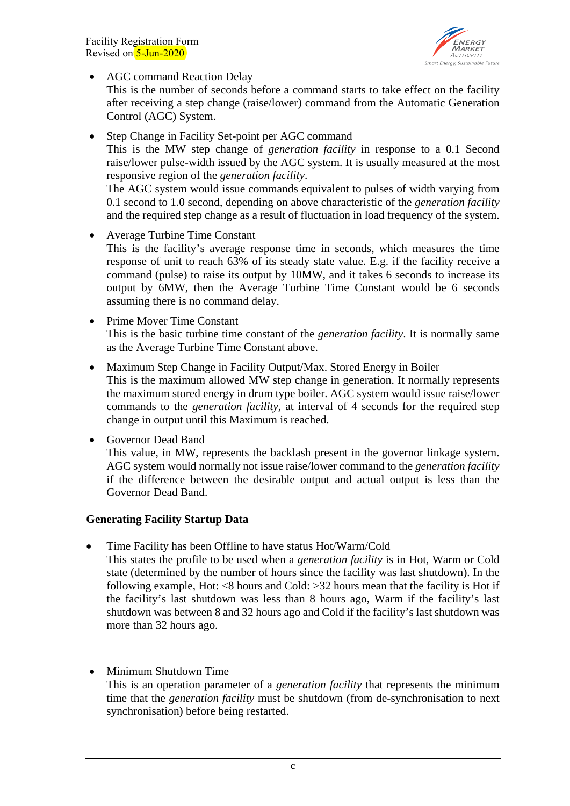Facility Registration Form Revised on 5-Jun-2020



• AGC command Reaction Delay

This is the number of seconds before a command starts to take effect on the facility after receiving a step change (raise/lower) command from the Automatic Generation Control (AGC) System.

• Step Change in Facility Set-point per AGC command This is the MW step change of *generation facility* in response to a 0.1 Second raise/lower pulse-width issued by the AGC system. It is usually measured at the most responsive region of the *generation facility*. The AGC system would issue commands equivalent to pulses of width varying from

0.1 second to 1.0 second, depending on above characteristic of the *generation facility* and the required step change as a result of fluctuation in load frequency of the system.

- Average Turbine Time Constant This is the facility's average response time in seconds, which measures the time response of unit to reach 63% of its steady state value. E.g. if the facility receive a command (pulse) to raise its output by 10MW, and it takes 6 seconds to increase its output by 6MW, then the Average Turbine Time Constant would be 6 seconds assuming there is no command delay.
- Prime Mover Time Constant This is the basic turbine time constant of the *generation facility*. It is normally same as the Average Turbine Time Constant above.
- Maximum Step Change in Facility Output/Max. Stored Energy in Boiler This is the maximum allowed MW step change in generation. It normally represents the maximum stored energy in drum type boiler. AGC system would issue raise/lower commands to the *generation facility*, at interval of 4 seconds for the required step change in output until this Maximum is reached.
- Governor Dead Band

This value, in MW, represents the backlash present in the governor linkage system. AGC system would normally not issue raise/lower command to the *generation facility* if the difference between the desirable output and actual output is less than the Governor Dead Band.

## **Generating Facility Startup Data**

• Time Facility has been Offline to have status Hot/Warm/Cold

This states the profile to be used when a *generation facility* is in Hot, Warm or Cold state (determined by the number of hours since the facility was last shutdown). In the following example, Hot:  $\langle 8 \text{ hours} \rangle$  and Cold:  $>32$  hours mean that the facility is Hot if the facility's last shutdown was less than 8 hours ago, Warm if the facility's last shutdown was between 8 and 32 hours ago and Cold if the facility's last shutdown was more than 32 hours ago.

• Minimum Shutdown Time This is an operation parameter of a *generation facility* that represents the minimum time that the *generation facility* must be shutdown (from de-synchronisation to next synchronisation) before being restarted.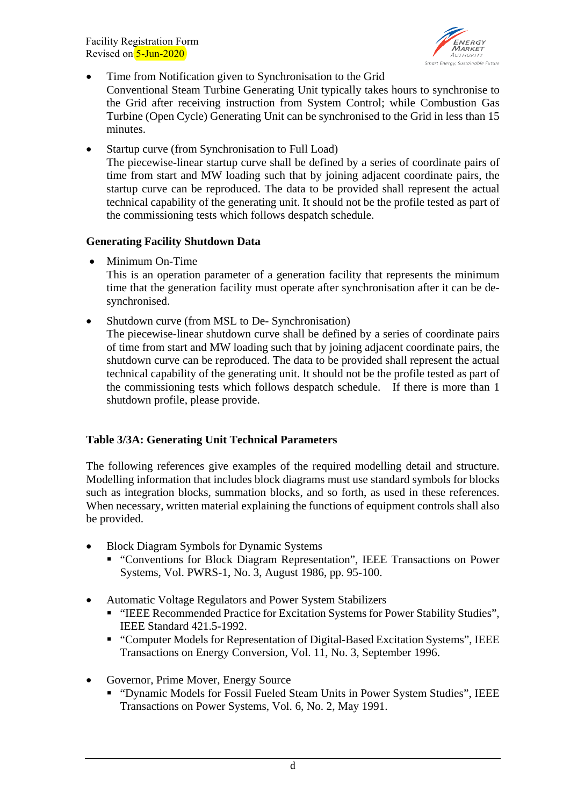Facility Registration Form Revised on 5-Jun-2020



• Time from Notification given to Synchronisation to the Grid

Conventional Steam Turbine Generating Unit typically takes hours to synchronise to the Grid after receiving instruction from System Control; while Combustion Gas Turbine (Open Cycle) Generating Unit can be synchronised to the Grid in less than 15 minutes.

• Startup curve (from Synchronisation to Full Load) The piecewise-linear startup curve shall be defined by a series of coordinate pairs of time from start and MW loading such that by joining adjacent coordinate pairs, the startup curve can be reproduced. The data to be provided shall represent the actual technical capability of the generating unit. It should not be the profile tested as part of the commissioning tests which follows despatch schedule.

#### **Generating Facility Shutdown Data**

• Minimum On-Time

This is an operation parameter of a generation facility that represents the minimum time that the generation facility must operate after synchronisation after it can be desynchronised.

• Shutdown curve (from MSL to De- Synchronisation)

The piecewise-linear shutdown curve shall be defined by a series of coordinate pairs of time from start and MW loading such that by joining adjacent coordinate pairs, the shutdown curve can be reproduced. The data to be provided shall represent the actual technical capability of the generating unit. It should not be the profile tested as part of the commissioning tests which follows despatch schedule. If there is more than 1 shutdown profile, please provide.

### **Table 3/3A: Generating Unit Technical Parameters**

The following references give examples of the required modelling detail and structure. Modelling information that includes block diagrams must use standard symbols for blocks such as integration blocks, summation blocks, and so forth, as used in these references. When necessary, written material explaining the functions of equipment controls shall also be provided.

- Block Diagram Symbols for Dynamic Systems
	- "Conventions for Block Diagram Representation", IEEE Transactions on Power Systems, Vol. PWRS-1, No. 3, August 1986, pp. 95-100.
- Automatic Voltage Regulators and Power System Stabilizers
	- "IEEE Recommended Practice for Excitation Systems for Power Stability Studies", IEEE Standard 421.5-1992.
	- "Computer Models for Representation of Digital-Based Excitation Systems", IEEE Transactions on Energy Conversion, Vol. 11, No. 3, September 1996.
- Governor, Prime Mover, Energy Source
	- "Dynamic Models for Fossil Fueled Steam Units in Power System Studies", IEEE Transactions on Power Systems, Vol. 6, No. 2, May 1991.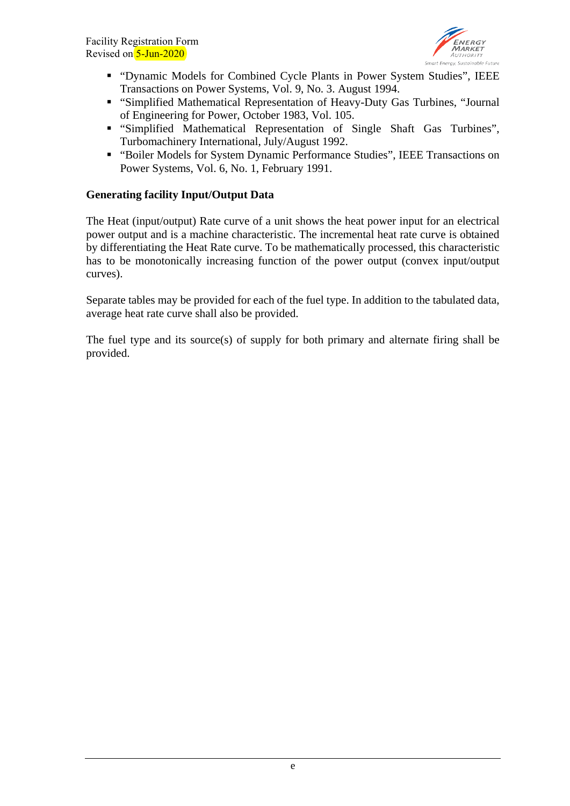

- "Dynamic Models for Combined Cycle Plants in Power System Studies", IEEE Transactions on Power Systems, Vol. 9, No. 3. August 1994.
- "Simplified Mathematical Representation of Heavy-Duty Gas Turbines, "Journal of Engineering for Power, October 1983, Vol. 105.
- "Simplified Mathematical Representation of Single Shaft Gas Turbines", Turbomachinery International, July/August 1992.
- "Boiler Models for System Dynamic Performance Studies", IEEE Transactions on Power Systems, Vol. 6, No. 1, February 1991.

### **Generating facility Input/Output Data**

The Heat (input/output) Rate curve of a unit shows the heat power input for an electrical power output and is a machine characteristic. The incremental heat rate curve is obtained by differentiating the Heat Rate curve. To be mathematically processed, this characteristic has to be monotonically increasing function of the power output (convex input/output curves).

Separate tables may be provided for each of the fuel type. In addition to the tabulated data, average heat rate curve shall also be provided.

The fuel type and its source(s) of supply for both primary and alternate firing shall be provided.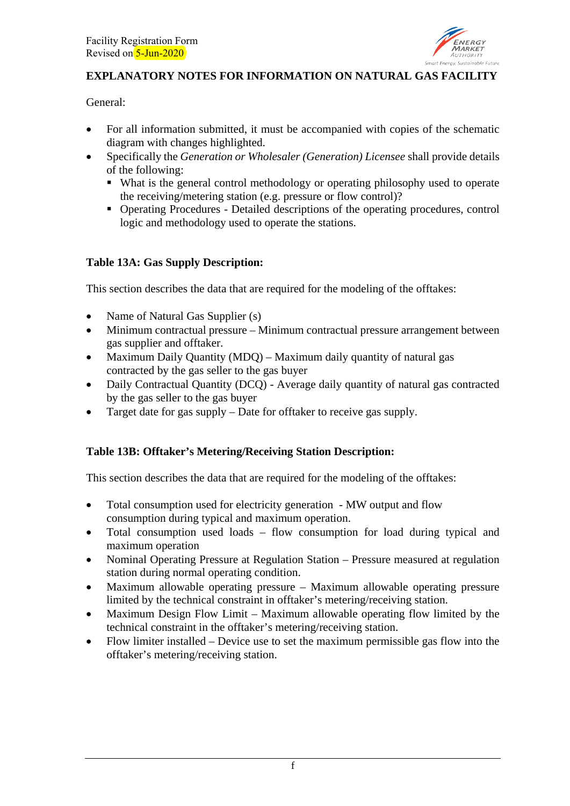

# **EXPLANATORY NOTES FOR INFORMATION ON NATURAL GAS FACILITY**

General:

- For all information submitted, it must be accompanied with copies of the schematic diagram with changes highlighted.
- Specifically the *Generation or Wholesaler (Generation) Licensee* shall provide details of the following:
	- What is the general control methodology or operating philosophy used to operate the receiving/metering station (e.g. pressure or flow control)?
	- Operating Procedures Detailed descriptions of the operating procedures, control logic and methodology used to operate the stations.

## **Table 13A: Gas Supply Description:**

This section describes the data that are required for the modeling of the offtakes:

- Name of Natural Gas Supplier (s)
- Minimum contractual pressure Minimum contractual pressure arrangement between gas supplier and offtaker.
- Maximum Daily Quantity (MDO) Maximum daily quantity of natural gas contracted by the gas seller to the gas buyer
- Daily Contractual Quantity (DCQ) Average daily quantity of natural gas contracted by the gas seller to the gas buyer
- Target date for gas supply Date for offtaker to receive gas supply.

## **Table 13B: Offtaker's Metering/Receiving Station Description:**

This section describes the data that are required for the modeling of the offtakes:

- Total consumption used for electricity generation MW output and flow consumption during typical and maximum operation.
- Total consumption used loads flow consumption for load during typical and maximum operation
- Nominal Operating Pressure at Regulation Station Pressure measured at regulation station during normal operating condition.
- Maximum allowable operating pressure Maximum allowable operating pressure limited by the technical constraint in offtaker's metering/receiving station.
- Maximum Design Flow Limit Maximum allowable operating flow limited by the technical constraint in the offtaker's metering/receiving station.
- Flow limiter installed Device use to set the maximum permissible gas flow into the offtaker's metering/receiving station.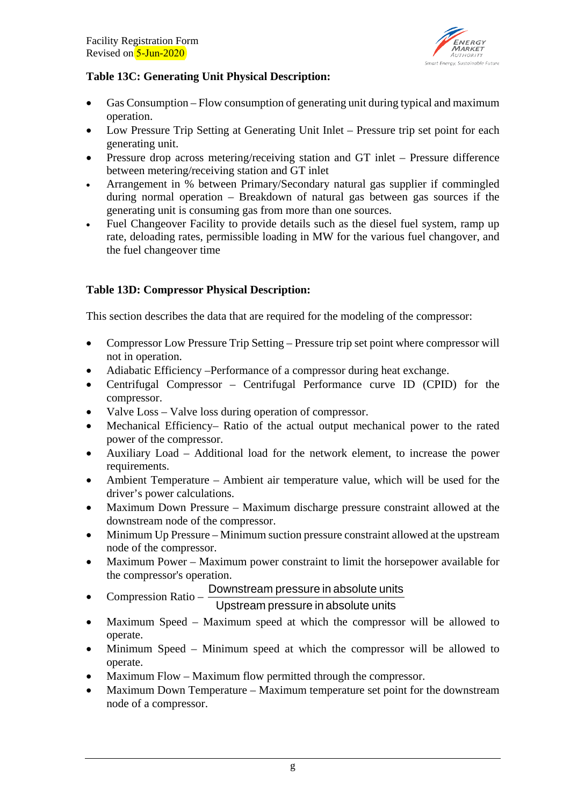

## **Table 13C: Generating Unit Physical Description:**

- Gas Consumption Flow consumption of generating unit during typical and maximum operation.
- Low Pressure Trip Setting at Generating Unit Inlet Pressure trip set point for each generating unit.
- Pressure drop across metering/receiving station and GT inlet Pressure difference between metering/receiving station and GT inlet
- Arrangement in % between Primary/Secondary natural gas supplier if commingled during normal operation – Breakdown of natural gas between gas sources if the generating unit is consuming gas from more than one sources.
- Fuel Changeover Facility to provide details such as the diesel fuel system, ramp up rate, deloading rates, permissible loading in MW for the various fuel changover, and the fuel changeover time

## **Table 13D: Compressor Physical Description:**

This section describes the data that are required for the modeling of the compressor:

- Compressor Low Pressure Trip Setting Pressure trip set point where compressor will not in operation.
- Adiabatic Efficiency –Performance of a compressor during heat exchange.
- Centrifugal Compressor Centrifugal Performance curve ID (CPID) for the compressor.
- Valve Loss Valve loss during operation of compressor.
- Mechanical Efficiency– Ratio of the actual output mechanical power to the rated power of the compressor.
- Auxiliary Load Additional load for the network element, to increase the power requirements.
- Ambient Temperature Ambient air temperature value, which will be used for the driver's power calculations.
- Maximum Down Pressure Maximum discharge pressure constraint allowed at the downstream node of the compressor.
- Minimum Up Pressure Minimum suction pressure constraint allowed at the upstream node of the compressor.
- Maximum Power Maximum power constraint to limit the horsepower available for the compressor's operation.
	- Downstream pressure in absolute units

• Compression Ratio – Upstream pressure in absolute units

- Maximum Speed Maximum speed at which the compressor will be allowed to operate.
- Minimum Speed Minimum speed at which the compressor will be allowed to operate.
- Maximum Flow Maximum flow permitted through the compressor.
- Maximum Down Temperature Maximum temperature set point for the downstream node of a compressor.